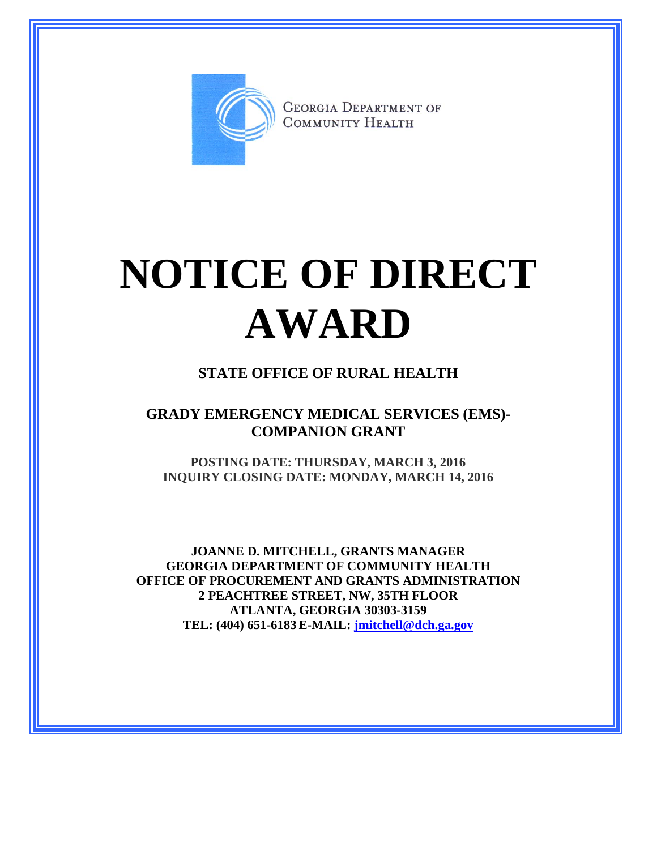

**GEORGIA DEPARTMENT OF** COMMUNITY HEALTH

## **NOTICE OF DIRECT AWARD**

## **STATE OFFICE OF RURAL HEALTH**

## **GRADY EMERGENCY MEDICAL SERVICES (EMS)- COMPANION GRANT**

**POSTING DATE: THURSDAY, MARCH 3, 2016 INQUIRY CLOSING DATE: MONDAY, MARCH 14, 2016**

**JOANNE D. MITCHELL, GRANTS MANAGER GEORGIA DEPARTMENT OF COMMUNITY HEALTH OFFICE OF PROCUREMENT AND GRANTS ADMINISTRATION 2 PEACHTREE STREET, NW, 35TH FLOOR ATLANTA, GEORGIA 30303-3159 TEL: (404) 651-6183 E-MAIL: [jmitchell@dch.ga.gov](mailto:awatson@dch.ga.gov)**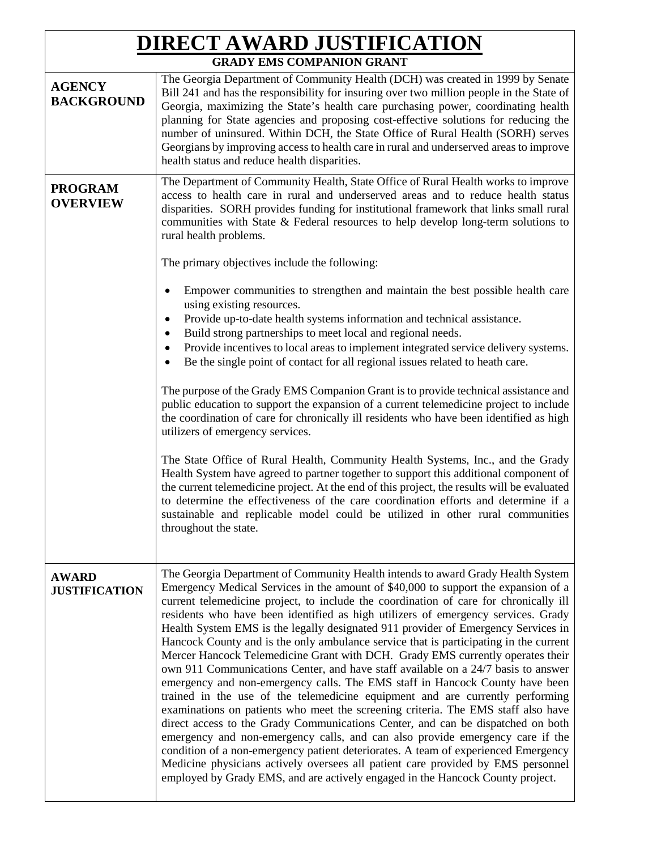| <b>DIRECT AWARD JUSTIFICATION</b>    |                                                                                                                                                                                                                                                                                                                                                                                                                                                                                                                                                                                                                                                                                                                                                                                                                                                                                                                                                                                                                                                                                                                                                                                                                                                                                                                                                                                                |  |
|--------------------------------------|------------------------------------------------------------------------------------------------------------------------------------------------------------------------------------------------------------------------------------------------------------------------------------------------------------------------------------------------------------------------------------------------------------------------------------------------------------------------------------------------------------------------------------------------------------------------------------------------------------------------------------------------------------------------------------------------------------------------------------------------------------------------------------------------------------------------------------------------------------------------------------------------------------------------------------------------------------------------------------------------------------------------------------------------------------------------------------------------------------------------------------------------------------------------------------------------------------------------------------------------------------------------------------------------------------------------------------------------------------------------------------------------|--|
| <b>GRADY EMS COMPANION GRANT</b>     |                                                                                                                                                                                                                                                                                                                                                                                                                                                                                                                                                                                                                                                                                                                                                                                                                                                                                                                                                                                                                                                                                                                                                                                                                                                                                                                                                                                                |  |
| <b>AGENCY</b><br><b>BACKGROUND</b>   | The Georgia Department of Community Health (DCH) was created in 1999 by Senate<br>Bill 241 and has the responsibility for insuring over two million people in the State of<br>Georgia, maximizing the State's health care purchasing power, coordinating health<br>planning for State agencies and proposing cost-effective solutions for reducing the<br>number of uninsured. Within DCH, the State Office of Rural Health (SORH) serves<br>Georgians by improving access to health care in rural and underserved areas to improve<br>health status and reduce health disparities.                                                                                                                                                                                                                                                                                                                                                                                                                                                                                                                                                                                                                                                                                                                                                                                                            |  |
| <b>PROGRAM</b><br><b>OVERVIEW</b>    | The Department of Community Health, State Office of Rural Health works to improve<br>access to health care in rural and underserved areas and to reduce health status<br>disparities. SORH provides funding for institutional framework that links small rural<br>communities with State & Federal resources to help develop long-term solutions to<br>rural health problems.<br>The primary objectives include the following:<br>Empower communities to strengthen and maintain the best possible health care<br>using existing resources.                                                                                                                                                                                                                                                                                                                                                                                                                                                                                                                                                                                                                                                                                                                                                                                                                                                    |  |
|                                      | Provide up-to-date health systems information and technical assistance.<br>٠<br>Build strong partnerships to meet local and regional needs.<br>$\bullet$<br>Provide incentives to local areas to implement integrated service delivery systems.<br>$\bullet$<br>Be the single point of contact for all regional issues related to heath care.<br>The purpose of the Grady EMS Companion Grant is to provide technical assistance and                                                                                                                                                                                                                                                                                                                                                                                                                                                                                                                                                                                                                                                                                                                                                                                                                                                                                                                                                           |  |
|                                      | public education to support the expansion of a current telemedicine project to include<br>the coordination of care for chronically ill residents who have been identified as high<br>utilizers of emergency services.<br>The State Office of Rural Health, Community Health Systems, Inc., and the Grady<br>Health System have agreed to partner together to support this additional component of<br>the current telemedicine project. At the end of this project, the results will be evaluated<br>to determine the effectiveness of the care coordination efforts and determine if a<br>sustainable and replicable model could be utilized in other rural communities<br>throughout the state.                                                                                                                                                                                                                                                                                                                                                                                                                                                                                                                                                                                                                                                                                               |  |
| <b>AWARD</b><br><b>JUSTIFICATION</b> | The Georgia Department of Community Health intends to award Grady Health System<br>Emergency Medical Services in the amount of \$40,000 to support the expansion of a<br>current telemedicine project, to include the coordination of care for chronically ill<br>residents who have been identified as high utilizers of emergency services. Grady<br>Health System EMS is the legally designated 911 provider of Emergency Services in<br>Hancock County and is the only ambulance service that is participating in the current<br>Mercer Hancock Telemedicine Grant with DCH. Grady EMS currently operates their<br>own 911 Communications Center, and have staff available on a 24/7 basis to answer<br>emergency and non-emergency calls. The EMS staff in Hancock County have been<br>trained in the use of the telemedicine equipment and are currently performing<br>examinations on patients who meet the screening criteria. The EMS staff also have<br>direct access to the Grady Communications Center, and can be dispatched on both<br>emergency and non-emergency calls, and can also provide emergency care if the<br>condition of a non-emergency patient deteriorates. A team of experienced Emergency<br>Medicine physicians actively oversees all patient care provided by EMS personnel<br>employed by Grady EMS, and are actively engaged in the Hancock County project. |  |